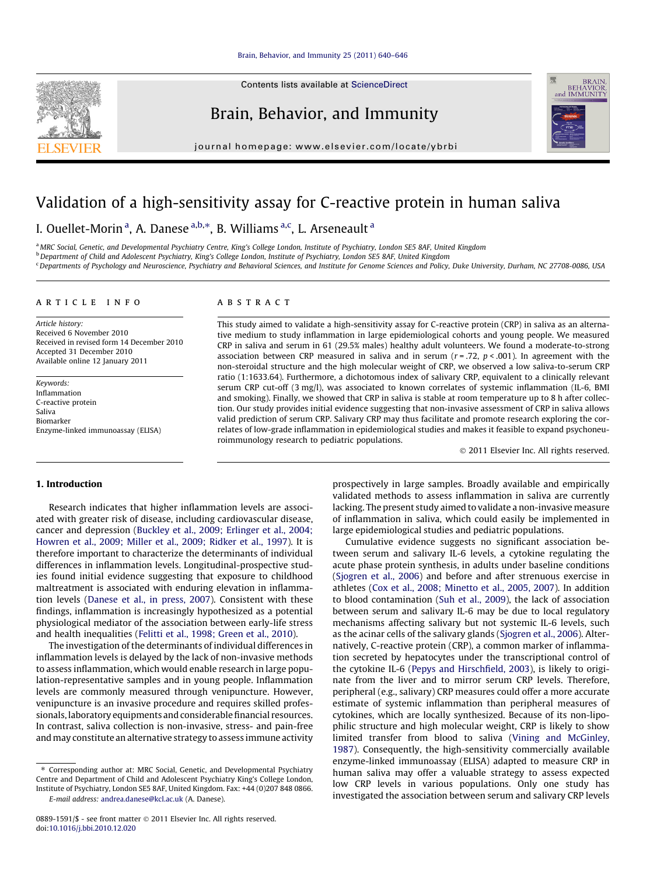#### [Brain, Behavior, and Immunity 25 \(2011\) 640–646](http://dx.doi.org/10.1016/j.bbi.2010.12.020)

Contents lists available at [ScienceDirect](http://www.sciencedirect.com/science/journal/08891591)

Brain, Behavior, and Immunity

journal homepage: [www.elsevier.com/locate/ybrbi](http://www.elsevier.com/locate/ybrbi)

# Validation of a high-sensitivity assay for C-reactive protein in human saliva

I. Ouellet-Morin <sup>a</sup>, A. Danese <sup>a,b,</sup>\*, B. Williams <sup>a,c</sup>, L. Arseneault <sup>a</sup>

a MRC Social, Genetic, and Developmental Psychiatry Centre, King's College London, Institute of Psychiatry, London SE5 8AF, United Kingdom

<sup>b</sup> Department of Child and Adolescent Psychiatry, King's College London, Institute of Psychiatry, London SE5 8AF, United Kingdom

<sup>c</sup> Departments of Psychology and Neuroscience, Psychiatry and Behavioral Sciences, and Institute for Genome Sciences and Policy, Duke University, Durham, NC 27708-0086, USA

#### article info

Article history: Received 6 November 2010 Received in revised form 14 December 2010 Accepted 31 December 2010 Available online 12 January 2011

Keywords: Inflammation C-reactive protein Saliva Biomarker Enzyme-linked immunoassay (ELISA)

# ABSTRACT

This study aimed to validate a high-sensitivity assay for C-reactive protein (CRP) in saliva as an alternative medium to study inflammation in large epidemiological cohorts and young people. We measured CRP in saliva and serum in 61 (29.5% males) healthy adult volunteers. We found a moderate-to-strong association between CRP measured in saliva and in serum ( $r = .72$ ,  $p < .001$ ). In agreement with the non-steroidal structure and the high molecular weight of CRP, we observed a low saliva-to-serum CRP ratio (1:1633.64). Furthermore, a dichotomous index of salivary CRP, equivalent to a clinically relevant serum CRP cut-off (3 mg/l), was associated to known correlates of systemic inflammation (IL-6, BMI and smoking). Finally, we showed that CRP in saliva is stable at room temperature up to 8 h after collection. Our study provides initial evidence suggesting that non-invasive assessment of CRP in saliva allows valid prediction of serum CRP. Salivary CRP may thus facilitate and promote research exploring the correlates of low-grade inflammation in epidemiological studies and makes it feasible to expand psychoneuroimmunology research to pediatric populations.

- 2011 Elsevier Inc. All rights reserved.

## 1. Introduction

Research indicates that higher inflammation levels are associated with greater risk of disease, including cardiovascular disease, cancer and depression [\(Buckley et al., 2009; Erlinger et al., 2004;](#page-5-0) [Howren et al., 2009; Miller et al., 2009; Ridker et al., 1997\)](#page-5-0). It is therefore important to characterize the determinants of individual differences in inflammation levels. Longitudinal-prospective studies found initial evidence suggesting that exposure to childhood maltreatment is associated with enduring elevation in inflammation levels ([Danese et al., in press, 2007\)](#page-5-0). Consistent with these findings, inflammation is increasingly hypothesized as a potential physiological mediator of the association between early-life stress and health inequalities ([Felitti et al., 1998; Green et al., 2010](#page-5-0)).

The investigation of the determinants of individual differences in inflammation levels is delayed by the lack of non-invasive methods to assess inflammation, which would enable research in large population-representative samples and in young people. Inflammation levels are commonly measured through venipuncture. However, venipuncture is an invasive procedure and requires skilled professionals, laboratory equipments and considerable financial resources. In contrast, saliva collection is non-invasive, stress- and pain-free andmay constitute an alternative strategy to assess immune activity

⇑ Corresponding author at: MRC Social, Genetic, and Developmental Psychiatry Centre and Department of Child and Adolescent Psychiatry King's College London, Institute of Psychiatry, London SE5 8AF, United Kingdom. Fax: +44 (0)207 848 0866.

E-mail address: [andrea.danese@kcl.ac.uk](mailto:andrea.danese@kcl.ac.uk) (A. Danese).

prospectively in large samples. Broadly available and empirically validated methods to assess inflammation in saliva are currently lacking. The present study aimed to validate a non-invasive measure of inflammation in saliva, which could easily be implemented in large epidemiological studies and pediatric populations.

Cumulative evidence suggests no significant association between serum and salivary IL-6 levels, a cytokine regulating the acute phase protein synthesis, in adults under baseline conditions ([Sjogren et al., 2006](#page-6-0)) and before and after strenuous exercise in athletes ([Cox et al., 2008; Minetto et al., 2005, 2007\)](#page-5-0). In addition to blood contamination [\(Suh et al., 2009\)](#page-6-0), the lack of association between serum and salivary IL-6 may be due to local regulatory mechanisms affecting salivary but not systemic IL-6 levels, such as the acinar cells of the salivary glands [\(Sjogren et al., 2006](#page-6-0)). Alternatively, C-reactive protein (CRP), a common marker of inflammation secreted by hepatocytes under the transcriptional control of the cytokine IL-6 [\(Pepys and Hirschfield, 2003](#page-6-0)), is likely to originate from the liver and to mirror serum CRP levels. Therefore, peripheral (e.g., salivary) CRP measures could offer a more accurate estimate of systemic inflammation than peripheral measures of cytokines, which are locally synthesized. Because of its non-lipophilic structure and high molecular weight, CRP is likely to show limited transfer from blood to saliva ([Vining and McGinley,](#page-6-0) [1987\)](#page-6-0). Consequently, the high-sensitivity commercially available enzyme-linked immunoassay (ELISA) adapted to measure CRP in human saliva may offer a valuable strategy to assess expected low CRP levels in various populations. Only one study has investigated the association between serum and salivary CRP levels



<sup>0889-1591/\$ -</sup> see front matter © 2011 Elsevier Inc. All rights reserved. doi:[10.1016/j.bbi.2010.12.020](http://dx.doi.org/10.1016/j.bbi.2010.12.020)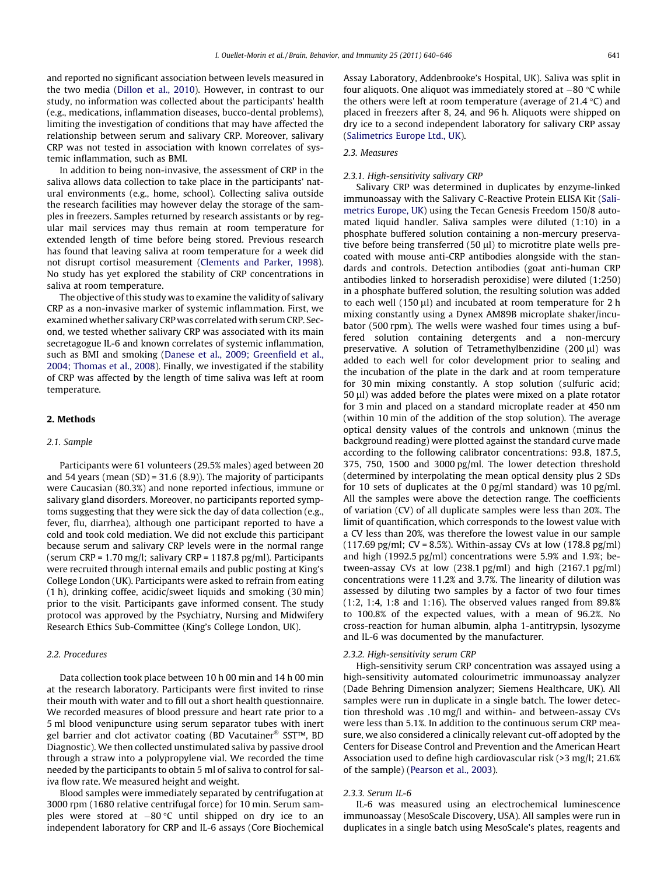and reported no significant association between levels measured in the two media [\(Dillon et al., 2010\)](#page-5-0). However, in contrast to our study, no information was collected about the participants' health (e.g., medications, inflammation diseases, bucco-dental problems), limiting the investigation of conditions that may have affected the relationship between serum and salivary CRP. Moreover, salivary CRP was not tested in association with known correlates of systemic inflammation, such as BMI.

In addition to being non-invasive, the assessment of CRP in the saliva allows data collection to take place in the participants' natural environments (e.g., home, school). Collecting saliva outside the research facilities may however delay the storage of the samples in freezers. Samples returned by research assistants or by regular mail services may thus remain at room temperature for extended length of time before being stored. Previous research has found that leaving saliva at room temperature for a week did not disrupt cortisol measurement ([Clements and Parker, 1998\)](#page-5-0). No study has yet explored the stability of CRP concentrations in saliva at room temperature.

The objective of this study was to examine the validity of salivary CRP as a non-invasive marker of systemic inflammation. First, we examined whether salivary CRP was correlated with serum CRP. Second, we tested whether salivary CRP was associated with its main secretagogue IL-6 and known correlates of systemic inflammation, such as BMI and smoking [\(Danese et al., 2009; Greenfield et al.,](#page-5-0) [2004; Thomas et al., 2008\)](#page-5-0). Finally, we investigated if the stability of CRP was affected by the length of time saliva was left at room temperature.

#### 2. Methods

#### 2.1. Sample

Participants were 61 volunteers (29.5% males) aged between 20 and 54 years (mean  $(SD) = 31.6 (8.9)$ ). The majority of participants were Caucasian (80.3%) and none reported infectious, immune or salivary gland disorders. Moreover, no participants reported symptoms suggesting that they were sick the day of data collection (e.g., fever, flu, diarrhea), although one participant reported to have a cold and took cold mediation. We did not exclude this participant because serum and salivary CRP levels were in the normal range (serum CRP = 1.70 mg/l; salivary CRP = 1187.8 pg/ml). Participants were recruited through internal emails and public posting at King's College London (UK). Participants were asked to refrain from eating (1 h), drinking coffee, acidic/sweet liquids and smoking (30 min) prior to the visit. Participants gave informed consent. The study protocol was approved by the Psychiatry, Nursing and Midwifery Research Ethics Sub-Committee (King's College London, UK).

# 2.2. Procedures

Data collection took place between 10 h 00 min and 14 h 00 min at the research laboratory. Participants were first invited to rinse their mouth with water and to fill out a short health questionnaire. We recorded measures of blood pressure and heart rate prior to a 5 ml blood venipuncture using serum separator tubes with inert gel barrier and clot activator coating (BD Vacutainer® SST™, BD Diagnostic). We then collected unstimulated saliva by passive drool through a straw into a polypropylene vial. We recorded the time needed by the participants to obtain 5 ml of saliva to control for saliva flow rate. We measured height and weight.

Blood samples were immediately separated by centrifugation at 3000 rpm (1680 relative centrifugal force) for 10 min. Serum samples were stored at -80 C until shipped on dry ice to an independent laboratory for CRP and IL-6 assays (Core Biochemical

Assay Laboratory, Addenbrooke's Hospital, UK). Saliva was split in four aliquots. One aliquot was immediately stored at  $-80$  °C while the others were left at room temperature (average of 21.4  $\degree$ C) and placed in freezers after 8, 24, and 96 h. Aliquots were shipped on dry ice to a second independent laboratory for salivary CRP assay ([Salimetrics Europe Ltd., UK\)](#page-6-0).

### 2.3. Measures

#### 2.3.1. High-sensitivity salivary CRP

Salivary CRP was determined in duplicates by enzyme-linked immunoassay with the Salivary C-Reactive Protein ELISA Kit ([Sali](#page-6-0)[metrics Europe, UK](#page-6-0)) using the Tecan Genesis Freedom 150/8 automated liquid handler. Saliva samples were diluted (1:10) in a phosphate buffered solution containing a non-mercury preservative before being transferred (50  $\mu$ l) to microtitre plate wells precoated with mouse anti-CRP antibodies alongside with the standards and controls. Detection antibodies (goat anti-human CRP antibodies linked to horseradish peroxidise) were diluted (1:250) in a phosphate buffered solution, the resulting solution was added to each well (150  $\mu$ l) and incubated at room temperature for 2 h mixing constantly using a Dynex AM89B microplate shaker/incubator (500 rpm). The wells were washed four times using a buffered solution containing detergents and a non-mercury preservative. A solution of Tetramethylbenzidine  $(200 \mu l)$  was added to each well for color development prior to sealing and the incubation of the plate in the dark and at room temperature for 30 min mixing constantly. A stop solution (sulfuric acid;  $50 \mu$ I) was added before the plates were mixed on a plate rotator for 3 min and placed on a standard microplate reader at 450 nm (within 10 min of the addition of the stop solution). The average optical density values of the controls and unknown (minus the background reading) were plotted against the standard curve made according to the following calibrator concentrations: 93.8, 187.5, 375, 750, 1500 and 3000 pg/ml. The lower detection threshold (determined by interpolating the mean optical density plus 2 SDs for 10 sets of duplicates at the 0 pg/ml standard) was 10 pg/ml. All the samples were above the detection range. The coefficients of variation (CV) of all duplicate samples were less than 20%. The limit of quantification, which corresponds to the lowest value with a CV less than 20%, was therefore the lowest value in our sample  $(117.69 \text{ pg/ml}; CV = 8.5%)$ . Within-assay CVs at low  $(178.8 \text{ pg/ml})$ and high (1992.5 pg/ml) concentrations were 5.9% and 1.9%; between-assay CVs at low (238.1 pg/ml) and high (2167.1 pg/ml) concentrations were 11.2% and 3.7%. The linearity of dilution was assessed by diluting two samples by a factor of two four times (1:2, 1:4, 1:8 and 1:16). The observed values ranged from 89.8% to 100.8% of the expected values, with a mean of 96.2%. No cross-reaction for human albumin, alpha 1-antitrypsin, lysozyme and IL-6 was documented by the manufacturer.

#### 2.3.2. High-sensitivity serum CRP

High-sensitivity serum CRP concentration was assayed using a high-sensitivity automated colourimetric immunoassay analyzer (Dade Behring Dimension analyzer; Siemens Healthcare, UK). All samples were run in duplicate in a single batch. The lower detection threshold was .10 mg/l and within- and between-assay CVs were less than 5.1%. In addition to the continuous serum CRP measure, we also considered a clinically relevant cut-off adopted by the Centers for Disease Control and Prevention and the American Heart Association used to define high cardiovascular risk (>3 mg/l; 21.6% of the sample) [\(Pearson et al., 2003](#page-6-0)).

#### 2.3.3. Serum IL-6

IL-6 was measured using an electrochemical luminescence immunoassay (MesoScale Discovery, USA). All samples were run in duplicates in a single batch using MesoScale's plates, reagents and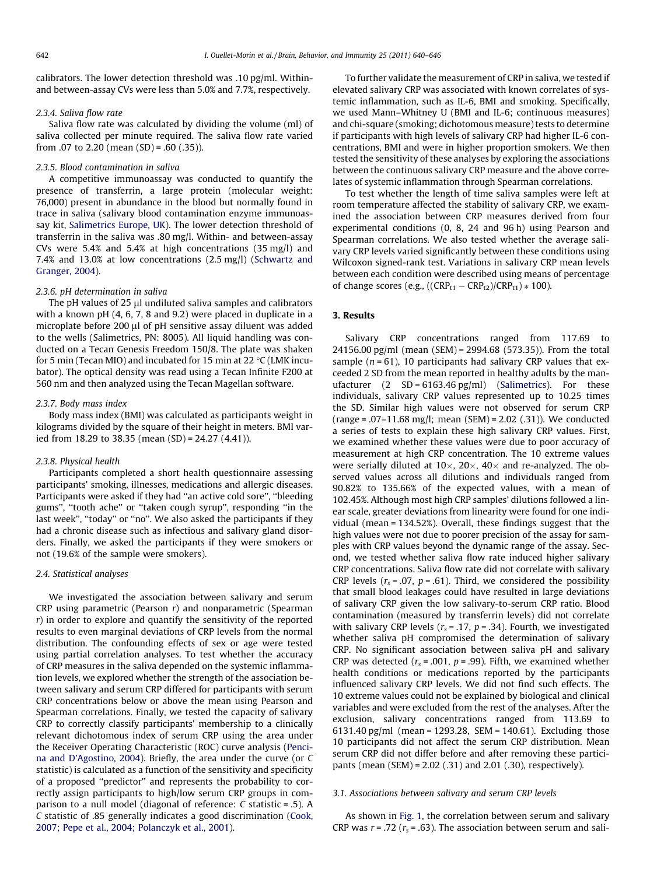calibrators. The lower detection threshold was .10 pg/ml. Withinand between-assay CVs were less than 5.0% and 7.7%, respectively.

### 2.3.4. Saliva flow rate

Saliva flow rate was calculated by dividing the volume (ml) of saliva collected per minute required. The saliva flow rate varied from .07 to 2.20 (mean  $(SD) = .60$   $(.35)$ ).

#### 2.3.5. Blood contamination in saliva

A competitive immunoassay was conducted to quantify the presence of transferrin, a large protein (molecular weight: 76,000) present in abundance in the blood but normally found in trace in saliva (salivary blood contamination enzyme immunoassay kit, [Salimetrics Europe, UK](#page-6-0)). The lower detection threshold of transferrin in the saliva was .80 mg/l. Within- and between-assay CVs were 5.4% and 5.4% at high concentrations (35 mg/l) and 7.4% and 13.0% at low concentrations (2.5 mg/l) ([Schwartz and](#page-6-0) [Granger, 2004](#page-6-0)).

#### 2.3.6. pH determination in saliva

The pH values of  $25 \mu l$  undiluted saliva samples and calibrators with a known pH (4, 6, 7, 8 and 9.2) were placed in duplicate in a microplate before 200 µl of pH sensitive assay diluent was added to the wells (Salimetrics, PN: 8005). All liquid handling was conducted on a Tecan Genesis Freedom 150/8. The plate was shaken for 5 min (Tecan MIO) and incubated for 15 min at 22  $\rm{°C}$  (LMK incubator). The optical density was read using a Tecan Infinite F200 at 560 nm and then analyzed using the Tecan Magellan software.

#### 2.3.7. Body mass index

Body mass index (BMI) was calculated as participants weight in kilograms divided by the square of their height in meters. BMI varied from 18.29 to 38.35 (mean (SD) = 24.27 (4.41)).

#### 2.3.8. Physical health

Participants completed a short health questionnaire assessing participants' smoking, illnesses, medications and allergic diseases. Participants were asked if they had ''an active cold sore'', ''bleeding gums'', ''tooth ache'' or ''taken cough syrup'', responding ''in the last week", "today" or "no". We also asked the participants if they had a chronic disease such as infectious and salivary gland disorders. Finally, we asked the participants if they were smokers or not (19.6% of the sample were smokers).

#### 2.4. Statistical analyses

We investigated the association between salivary and serum CRP using parametric (Pearson  $r$ ) and nonparametric (Spearman r) in order to explore and quantify the sensitivity of the reported results to even marginal deviations of CRP levels from the normal distribution. The confounding effects of sex or age were tested using partial correlation analyses. To test whether the accuracy of CRP measures in the saliva depended on the systemic inflammation levels, we explored whether the strength of the association between salivary and serum CRP differed for participants with serum CRP concentrations below or above the mean using Pearson and Spearman correlations. Finally, we tested the capacity of salivary CRP to correctly classify participants' membership to a clinically relevant dichotomous index of serum CRP using the area under the Receiver Operating Characteristic (ROC) curve analysis [\(Penci](#page-6-0)[na and D'Agostino, 2004](#page-6-0)). Briefly, the area under the curve (or C statistic) is calculated as a function of the sensitivity and specificity of a proposed ''predictor'' and represents the probability to correctly assign participants to high/low serum CRP groups in comparison to a null model (diagonal of reference: C statistic = .5). A C statistic of .85 generally indicates a good discrimination [\(Cook,](#page-5-0) [2007; Pepe et al., 2004; Polanczyk et al., 2001\)](#page-5-0).

To further validate the measurement of CRP in saliva, we tested if elevated salivary CRP was associated with known correlates of systemic inflammation, such as IL-6, BMI and smoking. Specifically, we used Mann–Whitney U (BMI and IL-6; continuous measures) and chi-square (smoking; dichotomous measure) tests to determine if participants with high levels of salivary CRP had higher IL-6 concentrations, BMI and were in higher proportion smokers. We then tested the sensitivity of these analyses by exploring the associations between the continuous salivary CRP measure and the above correlates of systemic inflammation through Spearman correlations.

To test whether the length of time saliva samples were left at room temperature affected the stability of salivary CRP, we examined the association between CRP measures derived from four experimental conditions (0, 8, 24 and 96 h) using Pearson and Spearman correlations. We also tested whether the average salivary CRP levels varied significantly between these conditions using Wilcoxon signed-rank test. Variations in salivary CRP mean levels between each condition were described using means of percentage of change scores (e.g., (( $CRP_{t1} - CRP_{t2}$ )/ $CRP_{t1}$ )  $*$  100).

# 3. Results

Salivary CRP concentrations ranged from 117.69 to 24156.00 pg/ml (mean (SEM) = 2994.68 (573.35)). From the total sample ( $n = 61$ ), 10 participants had salivary CRP values that exceeded 2 SD from the mean reported in healthy adults by the manufacturer  $(2 \text{ SD} = 6163.46 \text{ pg/ml})$  ([Salimetrics](#page-6-0)). For these individuals, salivary CRP values represented up to 10.25 times the SD. Similar high values were not observed for serum CRP  $(range=.07-11.68 mg/l; mean (SEM) = 2.02 (.31)).$  We conducted a series of tests to explain these high salivary CRP values. First, we examined whether these values were due to poor accuracy of measurement at high CRP concentration. The 10 extreme values were serially diluted at  $10\times$ ,  $20\times$ ,  $40\times$  and re-analyzed. The observed values across all dilutions and individuals ranged from 90.82% to 135.66% of the expected values, with a mean of 102.45%. Although most high CRP samples' dilutions followed a linear scale, greater deviations from linearity were found for one individual (mean = 134.52%). Overall, these findings suggest that the high values were not due to poorer precision of the assay for samples with CRP values beyond the dynamic range of the assay. Second, we tested whether saliva flow rate induced higher salivary CRP concentrations. Saliva flow rate did not correlate with salivary CRP levels ( $r_s$  = .07,  $p$  = .61). Third, we considered the possibility that small blood leakages could have resulted in large deviations of salivary CRP given the low salivary-to-serum CRP ratio. Blood contamination (measured by transferrin levels) did not correlate with salivary CRP levels ( $r_s = .17$ ,  $p = .34$ ). Fourth, we investigated whether saliva pH compromised the determination of salivary CRP. No significant association between saliva pH and salivary CRP was detected ( $r_s$  = .001,  $p$  = .99). Fifth, we examined whether health conditions or medications reported by the participants influenced salivary CRP levels. We did not find such effects. The 10 extreme values could not be explained by biological and clinical variables and were excluded from the rest of the analyses. After the exclusion, salivary concentrations ranged from 113.69 to 6131.40 pg/ml (mean = 1293.28, SEM = 140.61). Excluding those 10 participants did not affect the serum CRP distribution. Mean serum CRP did not differ before and after removing these participants (mean (SEM) = 2.02 (.31) and 2.01 (.30), respectively).

# 3.1. Associations between salivary and serum CRP levels

As shown in [Fig. 1,](#page-3-0) the correlation between serum and salivary CRP was  $r = .72$  ( $r_s = .63$ ). The association between serum and sali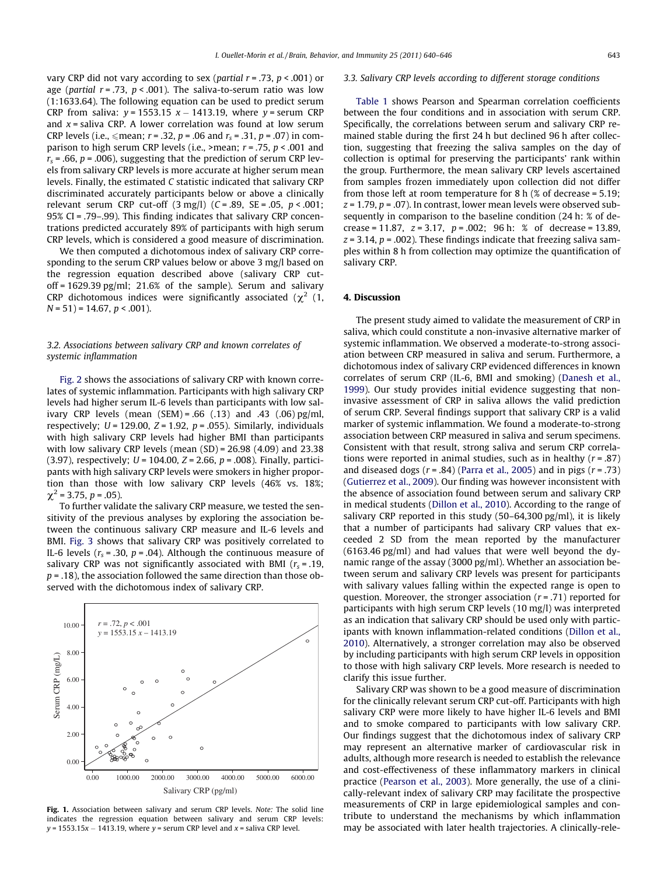<span id="page-3-0"></span>vary CRP did not vary according to sex (partial  $r = .73$ ,  $p < .001$ ) or age (*partial*  $r = .73$ *,*  $p < .001$ ). The saliva-to-serum ratio was low (1:1633.64). The following equation can be used to predict serum CRP from saliva:  $y = 1553.15$   $x - 1413.19$ , where  $y =$  serum CRP and  $x =$  saliva CRP. A lower correlation was found at low serum CRP levels (i.e.,  $\leq$  mean;  $r = .32$ ,  $p = .06$  and  $r_s = .31$ ,  $p = .07$ ) in comparison to high serum CRP levels (i.e., >mean;  $r = .75$ ,  $p < .001$  and  $r<sub>s</sub>$  = .66, p = .006), suggesting that the prediction of serum CRP levels from salivary CRP levels is more accurate at higher serum mean levels. Finally, the estimated C statistic indicated that salivary CRP discriminated accurately participants below or above a clinically relevant serum CRP cut-off  $(3 \text{ mg/l})$   $(C = .89, SE = .05, p < .001;$ 95% CI = .79–.99). This finding indicates that salivary CRP concentrations predicted accurately 89% of participants with high serum CRP levels, which is considered a good measure of discrimination.

We then computed a dichotomous index of salivary CRP corresponding to the serum CRP values below or above 3 mg/l based on the regression equation described above (salivary CRP cutoff = 1629.39 pg/ml; 21.6% of the sample). Serum and salivary CRP dichotomous indices were significantly associated ( $\chi^2$  (1,  $N = 51$ ) = 14.67,  $p < .001$ ).

# 3.2. Associations between salivary CRP and known correlates of systemic inflammation

[Fig. 2](#page-4-0) shows the associations of salivary CRP with known correlates of systemic inflammation. Participants with high salivary CRP levels had higher serum IL-6 levels than participants with low salivary CRP levels (mean  $(SEM) = .66$  (.13) and .43 (.06) pg/ml, respectively;  $U = 129.00$ ,  $Z = 1.92$ ,  $p = .055$ ). Similarly, individuals with high salivary CRP levels had higher BMI than participants with low salivary CRP levels (mean (SD) = 26.98 (4.09) and 23.38 (3.97), respectively;  $U = 104.00$ ,  $Z = 2.66$ ,  $p = .008$ ). Finally, participants with high salivary CRP levels were smokers in higher proportion than those with low salivary CRP levels (46% vs. 18%;  $\chi^2$  = 3.75, p = .05).

To further validate the salivary CRP measure, we tested the sensitivity of the previous analyses by exploring the association between the continuous salivary CRP measure and IL-6 levels and BMI. [Fig. 3](#page-4-0) shows that salivary CRP was positively correlated to IL-6 levels ( $r_s$  = .30,  $p$  = .04). Although the continuous measure of salivary CRP was not significantly associated with BMI ( $r_s$  = .19,  $p = .18$ ), the association followed the same direction than those observed with the dichotomous index of salivary CRP.



Fig. 1. Association between salivary and serum CRP levels. Note: The solid line indicates the regression equation between salivary and serum CRP levels:  $y$  = 1553.15x  $-$  1413.19, where  $y$  = serum CRP level and x = saliva CRP level.

#### 3.3. Salivary CRP levels according to different storage conditions

[Table 1](#page-4-0) shows Pearson and Spearman correlation coefficients between the four conditions and in association with serum CRP. Specifically, the correlations between serum and salivary CRP remained stable during the first 24 h but declined 96 h after collection, suggesting that freezing the saliva samples on the day of collection is optimal for preserving the participants' rank within the group. Furthermore, the mean salivary CRP levels ascertained from samples frozen immediately upon collection did not differ from those left at room temperature for 8 h  $(\%$  of decrease = 5.19;  $z = 1.79$ ,  $p = .07$ ). In contrast, lower mean levels were observed subsequently in comparison to the baseline condition (24 h: % of decrease = 11.87,  $z = 3.17$ ,  $p = .002$ ; 96 h: % of decrease = 13.89,  $z = 3.14$ ,  $p = .002$ ). These findings indicate that freezing saliva samples within 8 h from collection may optimize the quantification of salivary CRP.

# 4. Discussion

The present study aimed to validate the measurement of CRP in saliva, which could constitute a non-invasive alternative marker of systemic inflammation. We observed a moderate-to-strong association between CRP measured in saliva and serum. Furthermore, a dichotomous index of salivary CRP evidenced differences in known correlates of serum CRP (IL-6, BMI and smoking) ([Danesh et al.,](#page-5-0) [1999\)](#page-5-0). Our study provides initial evidence suggesting that noninvasive assessment of CRP in saliva allows the valid prediction of serum CRP. Several findings support that salivary CRP is a valid marker of systemic inflammation. We found a moderate-to-strong association between CRP measured in saliva and serum specimens. Consistent with that result, strong saliva and serum CRP correlations were reported in animal studies, such as in healthy  $(r=.87)$ and diseased dogs  $(r=.84)$  [\(Parra et al., 2005\)](#page-6-0) and in pigs  $(r=.73)$ ([Gutierrez et al., 2009](#page-5-0)). Our finding was however inconsistent with the absence of association found between serum and salivary CRP in medical students ([Dillon et al., 2010\)](#page-5-0). According to the range of salivary CRP reported in this study (50–64,300 pg/ml), it is likely that a number of participants had salivary CRP values that exceeded 2 SD from the mean reported by the manufacturer (6163.46 pg/ml) and had values that were well beyond the dynamic range of the assay (3000 pg/ml). Whether an association between serum and salivary CRP levels was present for participants with salivary values falling within the expected range is open to question. Moreover, the stronger association  $(r = .71)$  reported for participants with high serum CRP levels (10 mg/l) was interpreted as an indication that salivary CRP should be used only with participants with known inflammation-related conditions [\(Dillon et al.,](#page-5-0) [2010](#page-5-0)). Alternatively, a stronger correlation may also be observed by including participants with high serum CRP levels in opposition to those with high salivary CRP levels. More research is needed to clarify this issue further.

Salivary CRP was shown to be a good measure of discrimination for the clinically relevant serum CRP cut-off. Participants with high salivary CRP were more likely to have higher IL-6 levels and BMI and to smoke compared to participants with low salivary CRP. Our findings suggest that the dichotomous index of salivary CRP may represent an alternative marker of cardiovascular risk in adults, although more research is needed to establish the relevance and cost-effectiveness of these inflammatory markers in clinical practice ([Pearson et al., 2003](#page-6-0)). More generally, the use of a clinically-relevant index of salivary CRP may facilitate the prospective measurements of CRP in large epidemiological samples and contribute to understand the mechanisms by which inflammation may be associated with later health trajectories. A clinically-rele-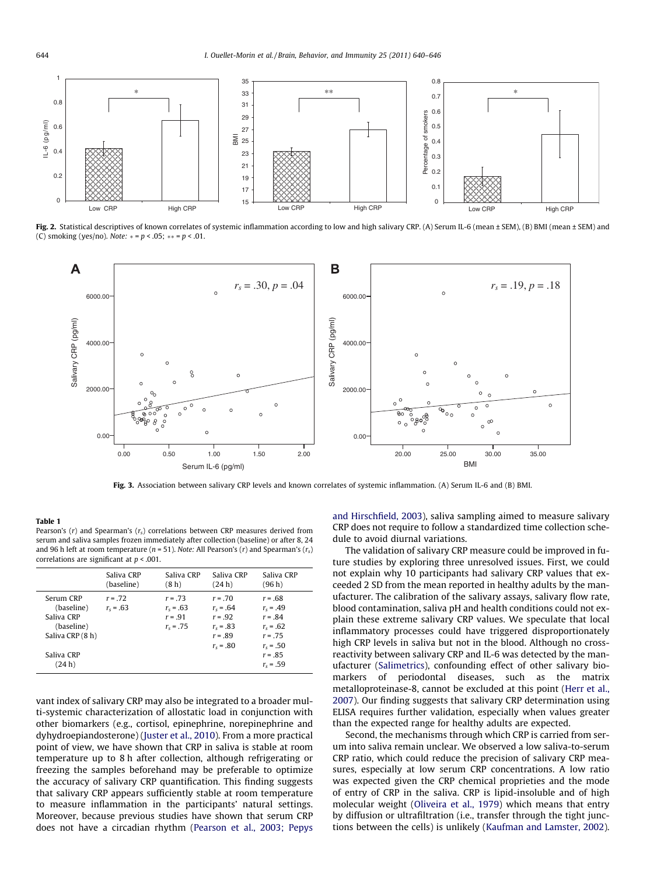<span id="page-4-0"></span>

Fig. 2. Statistical descriptives of known correlates of systemic inflammation according to low and high salivary CRP. (A) Serum IL-6 (mean ± SEM), (B) BMI (mean ± SEM) and (C) smoking (yes/no). Note:  $* = p < .05$ ;  $** = p < .01$ .



Fig. 3. Association between salivary CRP levels and known correlates of systemic inflammation. (A) Serum IL-6 and (B) BMI.

#### Table 1

Pearson's  $(r)$  and Spearman's  $(r_s)$  correlations between CRP measures derived from serum and saliva samples frozen immediately after collection (baseline) or after 8, 24 and 96 h left at room temperature ( $n = 51$ ). Note: All Pearson's ( $r$ ) and Spearman's ( $r_s$ ) correlations are significant at  $p < .001$ .

| Saliva CRP<br>Saliva CRP<br>Saliva CRP<br>Saliva CRP<br>(8h)<br>(24 h)<br>(96 h)<br>(baseline)<br>Serum CRP<br>$r = .72$<br>$r = .73$<br>$r = .70$<br>$r = .68$<br>(baseline)<br>$r_s = .63$<br>$r_s = .63$<br>$r_{s} = .64$<br>$r_s = .49$<br>Saliva CRP<br>$r = .91$<br>$r = .92$<br>$r = .84$<br>(baseline)<br>$r_s = .83$<br>$r_s = .75$<br>$r_s = .62$<br>Saliva CRP (8 h)<br>$r = .89$<br>$r = .75$<br>$r_{s} = .50$<br>$r_{s} = .80$ |            |  |           |
|---------------------------------------------------------------------------------------------------------------------------------------------------------------------------------------------------------------------------------------------------------------------------------------------------------------------------------------------------------------------------------------------------------------------------------------------|------------|--|-----------|
|                                                                                                                                                                                                                                                                                                                                                                                                                                             |            |  |           |
| (24 h)<br>$r_s = .59$                                                                                                                                                                                                                                                                                                                                                                                                                       | Saliva CRP |  | $r = .85$ |

vant index of salivary CRP may also be integrated to a broader multi-systemic characterization of allostatic load in conjunction with other biomarkers (e.g., cortisol, epinephrine, norepinephrine and dyhydroepiandosterone) ([Juster et al., 2010\)](#page-5-0). From a more practical point of view, we have shown that CRP in saliva is stable at room temperature up to 8 h after collection, although refrigerating or freezing the samples beforehand may be preferable to optimize the accuracy of salivary CRP quantification. This finding suggests that salivary CRP appears sufficiently stable at room temperature to measure inflammation in the participants' natural settings. Moreover, because previous studies have shown that serum CRP does not have a circadian rhythm ([Pearson et al., 2003; Pepys](#page-6-0)

[and Hirschfield, 2003\)](#page-6-0), saliva sampling aimed to measure salivary CRP does not require to follow a standardized time collection schedule to avoid diurnal variations.

The validation of salivary CRP measure could be improved in future studies by exploring three unresolved issues. First, we could not explain why 10 participants had salivary CRP values that exceeded 2 SD from the mean reported in healthy adults by the manufacturer. The calibration of the salivary assays, salivary flow rate, blood contamination, saliva pH and health conditions could not explain these extreme salivary CRP values. We speculate that local inflammatory processes could have triggered disproportionately high CRP levels in saliva but not in the blood. Although no crossreactivity between salivary CRP and IL-6 was detected by the manufacturer [\(Salimetrics\)](#page-6-0), confounding effect of other salivary biomarkers of periodontal diseases, such as the matrix metalloproteinase-8, cannot be excluded at this point [\(Herr et al.,](#page-5-0) [2007\)](#page-5-0). Our finding suggests that salivary CRP determination using ELISA requires further validation, especially when values greater than the expected range for healthy adults are expected.

Second, the mechanisms through which CRP is carried from serum into saliva remain unclear. We observed a low saliva-to-serum CRP ratio, which could reduce the precision of salivary CRP measures, especially at low serum CRP concentrations. A low ratio was expected given the CRP chemical proprieties and the mode of entry of CRP in the saliva. CRP is lipid-insoluble and of high molecular weight ([Oliveira et al., 1979\)](#page-6-0) which means that entry by diffusion or ultrafiltration (i.e., transfer through the tight junctions between the cells) is unlikely ([Kaufman and Lamster, 2002\)](#page-5-0).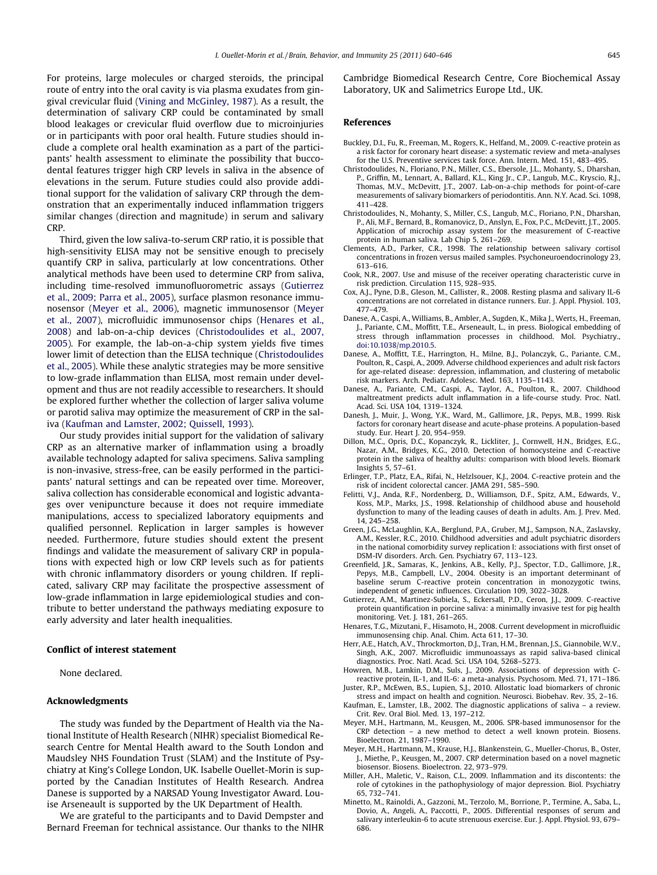<span id="page-5-0"></span>For proteins, large molecules or charged steroids, the principal route of entry into the oral cavity is via plasma exudates from gingival crevicular fluid ([Vining and McGinley, 1987](#page-6-0)). As a result, the determination of salivary CRP could be contaminated by small blood leakages or crevicular fluid overflow due to microinjuries or in participants with poor oral health. Future studies should include a complete oral health examination as a part of the participants' health assessment to eliminate the possibility that buccodental features trigger high CRP levels in saliva in the absence of elevations in the serum. Future studies could also provide additional support for the validation of salivary CRP through the demonstration that an experimentally induced inflammation triggers similar changes (direction and magnitude) in serum and salivary CRP.

Third, given the low saliva-to-serum CRP ratio, it is possible that high-sensitivity ELISA may not be sensitive enough to precisely quantify CRP in saliva, particularly at low concentrations. Other analytical methods have been used to determine CRP from saliva, including time-resolved immunofluorometric assays (Gutierrez et al., 2009; Parra et al., 2005), surface plasmon resonance immunosensor (Meyer et al., 2006), magnetic immunosensor (Meyer et al., 2007), microfluidic immunosensor chips (Henares et al., 2008) and lab-on-a-chip devices (Christodoulides et al., 2007, 2005). For example, the lab-on-a-chip system yields five times lower limit of detection than the ELISA technique (Christodoulides et al., 2005). While these analytic strategies may be more sensitive to low-grade inflammation than ELISA, most remain under development and thus are not readily accessible to researchers. It should be explored further whether the collection of larger saliva volume or parotid saliva may optimize the measurement of CRP in the saliva (Kaufman and Lamster, 2002; Quissell, 1993).

Our study provides initial support for the validation of salivary CRP as an alternative marker of inflammation using a broadly available technology adapted for saliva specimens. Saliva sampling is non-invasive, stress-free, can be easily performed in the participants' natural settings and can be repeated over time. Moreover, saliva collection has considerable economical and logistic advantages over venipuncture because it does not require immediate manipulations, access to specialized laboratory equipments and qualified personnel. Replication in larger samples is however needed. Furthermore, future studies should extent the present findings and validate the measurement of salivary CRP in populations with expected high or low CRP levels such as for patients with chronic inflammatory disorders or young children. If replicated, salivary CRP may facilitate the prospective assessment of low-grade inflammation in large epidemiological studies and contribute to better understand the pathways mediating exposure to early adversity and later health inequalities.

#### Conflict of interest statement

None declared.

# Acknowledgments

The study was funded by the Department of Health via the National Institute of Health Research (NIHR) specialist Biomedical Research Centre for Mental Health award to the South London and Maudsley NHS Foundation Trust (SLAM) and the Institute of Psychiatry at King's College London, UK. Isabelle Ouellet-Morin is supported by the Canadian Institutes of Health Research. Andrea Danese is supported by a NARSAD Young Investigator Award. Louise Arseneault is supported by the UK Department of Health.

We are grateful to the participants and to David Dempster and Bernard Freeman for technical assistance. Our thanks to the NIHR Cambridge Biomedical Research Centre, Core Biochemical Assay Laboratory, UK and Salimetrics Europe Ltd., UK.

#### References

- Buckley, D.I., Fu, R., Freeman, M., Rogers, K., Helfand, M., 2009. C-reactive protein as a risk factor for coronary heart disease: a systematic review and meta-analyses for the U.S. Preventive services task force. Ann. Intern. Med. 151, 483–495.
- Christodoulides, N., Floriano, P.N., Miller, C.S., Ebersole, J.L., Mohanty, S., Dharshan, P., Griffin, M., Lennart, A., Ballard, K.L., King Jr., C.P., Langub, M.C., Kryscio, R.J., Thomas, M.V., McDevitt, J.T., 2007. Lab-on-a-chip methods for point-of-care measurements of salivary biomarkers of periodontitis. Ann. N.Y. Acad. Sci. 1098, 411–428.
- Christodoulides, N., Mohanty, S., Miller, C.S., Langub, M.C., Floriano, P.N., Dharshan, P., Ali, M.F., Bernard, B., Romanovicz, D., Anslyn, E., Fox, P.C., McDevitt, J.T., 2005. Application of microchip assay system for the measurement of C-reactive protein in human saliva. Lab Chip 5, 261–269.
- Clements, A.D., Parker, C.R., 1998. The relationship between salivary cortisol concentrations in frozen versus mailed samples. Psychoneuroendocrinology 23, 613–616.
- Cook, N.R., 2007. Use and misuse of the receiver operating characteristic curve in risk prediction. Circulation 115, 928–935.
- Cox, A.J., Pyne, D.B., Gleson, M., Callister, R., 2008. Resting plasma and salivary IL-6 concentrations are not correlated in distance runners. Eur. J. Appl. Physiol. 103, 477–479.
- Danese, A., Caspi, A., Williams, B., Ambler, A., Sugden, K., Mika J., Werts, H., Freeman, J., Pariante, C.M., Moffitt, T.E., Arseneault, L., in press. Biological embedding of stress through inflammation processes in childhood. Mol. Psychiatry., [doi:10.1038/mp.2010.5](http://dx.doi.org/10.1038/mp.2010.5).
- Danese, A., Moffitt, T.E., Harrington, H., Milne, B.J., Polanczyk, G., Pariante, C.M., Poulton, R., Caspi, A., 2009. Adverse childhood experiences and adult risk factors for age-related disease: depression, inflammation, and clustering of metabolic risk markers. Arch. Pediatr. Adolesc. Med. 163, 1135–1143.
- Danese, A., Pariante, C.M., Caspi, A., Taylor, A., Poulton, R., 2007. Childhood maltreatment predicts adult inflammation in a life-course study. Proc. Natl. Acad. Sci. USA 104, 1319–1324.
- Danesh, J., Muir, J., Wong, Y.K., Ward, M., Gallimore, J.R., Pepys, M.B., 1999. Risk factors for coronary heart disease and acute-phase proteins. A population-based study. Eur. Heart J. 20, 954–959.
- Dillon, M.C., Opris, D.C., Kopanczyk, R., Lickliter, J., Cornwell, H.N., Bridges, E.G., Nazar, A.M., Bridges, K.G., 2010. Detection of homocysteine and C-reactive protein in the saliva of healthy adults: comparison with blood levels. Biomark Insights 5, 57–61.
- Erlinger, T.P., Platz, E.A., Rifai, N., Helzlsouer, K.J., 2004. C-reactive protein and the risk of incident colorectal cancer. JAMA 291, 585–590.
- Felitti, V.J., Anda, R.F., Nordenberg, D., Williamson, D.F., Spitz, A.M., Edwards, V., Koss, M.P., Marks, J.S., 1998. Relationship of childhood abuse and household dysfunction to many of the leading causes of death in adults. Am. J. Prev. Med. 14, 245–258.
- Green, J.G., McLaughlin, K.A., Berglund, P.A., Gruber, M.J., Sampson, N.A., Zaslavsky, A.M., Kessler, R.C., 2010. Childhood adversities and adult psychiatric disorders in the national comorbidity survey replication I: associations with first onset of DSM-IV disorders. Arch. Gen. Psychiatry 67, 113–123.
- Greenfield, J.R., Samaras, K., Jenkins, A.B., Kelly, P.J., Spector, T.D., Gallimore, J.R., Pepys, M.B., Campbell, L.V., 2004. Obesity is an important determinant of baseline serum C-reactive protein concentration in monozygotic twins, independent of genetic influences. Circulation 109, 3022–3028.
- Gutierrez, A.M., Martinez-Subiela, S., Eckersall, P.D., Ceron, J.J., 2009. C-reactive protein quantification in porcine saliva: a minimally invasive test for pig health monitoring. Vet. J. 181, 261–265.
- Henares, T.G., Mizutani, F., Hisamoto, H., 2008. Current development in microfluidic immunosensing chip. Anal. Chim. Acta 611, 17–30.
- Herr, A.E., Hatch, A.V., Throckmorton, D.J., Tran, H.M., Brennan, J.S., Giannobile, W.V., Singh, A.K., 2007. Microfluidic immunoassays as rapid saliva-based clinical diagnostics. Proc. Natl. Acad. Sci. USA 104, 5268–5273.
- Howren, M.B., Lamkin, D.M., Suls, J., 2009. Associations of depression with Creactive protein, IL-1, and IL-6: a meta-analysis. Psychosom. Med. 71, 171–186.
- Juster, R.P., McEwen, B.S., Lupien, S.J., 2010. Allostatic load biomarkers of chronic stress and impact on health and cognition. Neurosci. Biobehav. Rev. 35, 2–16. Kaufman, E., Lamster, I.B., 2002. The diagnostic applications of saliva – a review.
- Crit. Rev. Oral Biol. Med. 13, 197–212. Meyer, M.H., Hartmann, M., Keusgen, M., 2006. SPR-based immunosensor for the
- CRP detection a new method to detect a well known protein. Biosens. Bioelectron. 21, 1987–1990.
- Meyer, M.H., Hartmann, M., Krause, H.J., Blankenstein, G., Mueller-Chorus, B., Oster, J., Miethe, P., Keusgen, M., 2007. CRP determination based on a novel magnetic biosensor. Biosens. Bioelectron. 22, 973–979.
- Miller, A.H., Maletic, V., Raison, C.L., 2009. Inflammation and its discontents: the role of cytokines in the pathophysiology of major depression. Biol. Psychiatry 65, 732–741.
- Minetto, M., Rainoldi, A., Gazzoni, M., Terzolo, M., Borrione, P., Termine, A., Saba, L., Dovio, A., Angeli, A., Paccotti, P., 2005. Differential responses of serum and salivary interleukin-6 to acute strenuous exercise. Eur. J. Appl. Physiol. 93, 679– 686.